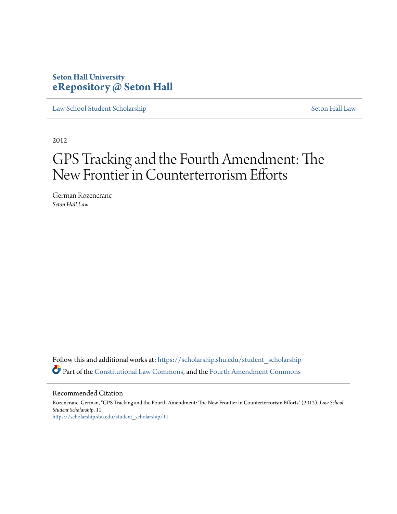# **Seton Hall University [eRepository @ Seton Hall](https://scholarship.shu.edu?utm_source=scholarship.shu.edu%2Fstudent_scholarship%2F11&utm_medium=PDF&utm_campaign=PDFCoverPages)**

[Law School Student Scholarship](https://scholarship.shu.edu/student_scholarship?utm_source=scholarship.shu.edu%2Fstudent_scholarship%2F11&utm_medium=PDF&utm_campaign=PDFCoverPages) [Seton Hall Law](https://scholarship.shu.edu/law?utm_source=scholarship.shu.edu%2Fstudent_scholarship%2F11&utm_medium=PDF&utm_campaign=PDFCoverPages)

2012

# GPS Tracking and the Fourth Amendment: The New Frontier in Counterterrorism Efforts

German Rozencranc *Seton Hall Law*

Follow this and additional works at: [https://scholarship.shu.edu/student\\_scholarship](https://scholarship.shu.edu/student_scholarship?utm_source=scholarship.shu.edu%2Fstudent_scholarship%2F11&utm_medium=PDF&utm_campaign=PDFCoverPages) Part of the [Constitutional Law Commons,](http://network.bepress.com/hgg/discipline/589?utm_source=scholarship.shu.edu%2Fstudent_scholarship%2F11&utm_medium=PDF&utm_campaign=PDFCoverPages) and the [Fourth Amendment Commons](http://network.bepress.com/hgg/discipline/1180?utm_source=scholarship.shu.edu%2Fstudent_scholarship%2F11&utm_medium=PDF&utm_campaign=PDFCoverPages)

Recommended Citation

Rozencranc, German, "GPS Tracking and the Fourth Amendment: The New Frontier in Counterterrorism Efforts" (2012). *Law School Student Scholarship*. 11. [https://scholarship.shu.edu/student\\_scholarship/11](https://scholarship.shu.edu/student_scholarship/11?utm_source=scholarship.shu.edu%2Fstudent_scholarship%2F11&utm_medium=PDF&utm_campaign=PDFCoverPages)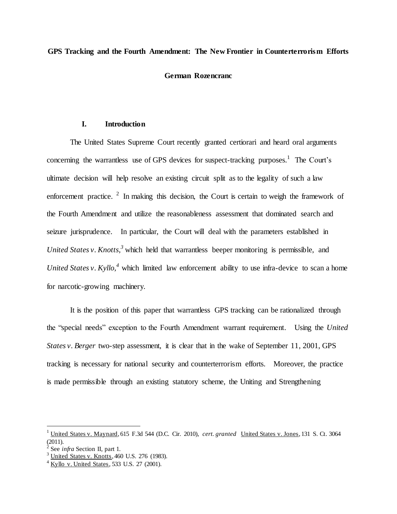#### **GPS Tracking and the Fourth Amendment: The New Frontier in Counterterrorism Efforts**

#### **German Rozencranc**

#### **I. Introduction**

The United States Supreme Court recently granted certiorari and heard oral arguments concerning the warrantless use of GPS devices for suspect-tracking purposes.<sup>1</sup> The Court's ultimate decision will help resolve an existing circuit split as to the legality of such a law enforcement practice.  $2 \text{ In making this decision, the Court is certain to weigh the framework of }$ the Fourth Amendment and utilize the reasonableness assessment that dominated search and seizure jurisprudence. In particular, the Court will deal with the parameters established in *United States v. Knotts, <sup>3</sup>* which held that warrantless beeper monitoring is permissible, and *United States v. Kyllo,*<sup>4</sup> which limited law enforcement ability to use infra-device to scan a home for narcotic-growing machinery.

It is the position of this paper that warrantless GPS tracking can be rationalized through the "special needs" exception to the Fourth Amendment warrant requirement. Using the *United States v. Berger* two-step assessment, it is clear that in the wake of September 11, 2001, GPS tracking is necessary for national security and counterterrorism efforts. Moreover, the practice is made permissible through an existing statutory scheme, the Uniting and Strengthening

<sup>1</sup> United States v. Maynard, 615 F.3d 544 (D.C. Cir. 2010), *cert. granted* United States v. Jones, 131 S. Ct. 3064 (2011).

 $\dot{2}$ See *infra* Section II, part 1.

<sup>&</sup>lt;sup>3</sup> United States v. Knotts, 460 U.S. 276 (1983).

 $4$  Kyllo v. United States, 533 U.S. 27 (2001).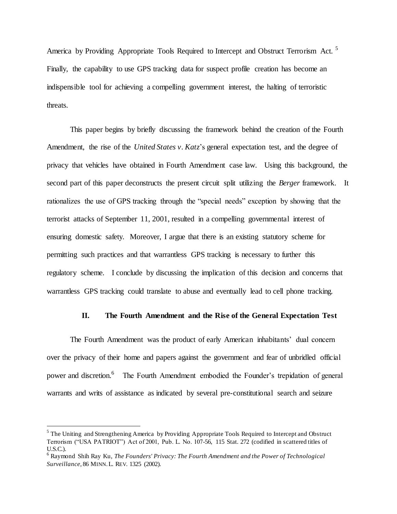America by Providing Appropriate Tools Required to Intercept and Obstruct Terrorism Act.<sup>5</sup> Finally, the capability to use GPS tracking data for suspect profile creation has become an indispensible tool for achieving a compelling government interest, the halting of terroristic threats.

This paper begins by briefly discussing the framework behind the creation of the Fourth Amendment, the rise of the *United States v. Katz*'s general expectation test, and the degree of privacy that vehicles have obtained in Fourth Amendment case law. Using this background, the second part of this paper deconstructs the present circuit split utilizing the *Berger* framework. It rationalizes the use of GPS tracking through the "special needs" exception by showing that the terrorist attacks of September 11, 2001, resulted in a compelling governmental interest of ensuring domestic safety. Moreover, I argue that there is an existing statutory scheme for permitting such practices and that warrantless GPS tracking is necessary to further this regulatory scheme. I conclude by discussing the implication of this decision and concerns that warrantless GPS tracking could translate to abuse and eventually lead to cell phone tracking.

#### **II. The Fourth Amendment and the Rise of the General Expectation Test**

The Fourth Amendment was the product of early American inhabitants' dual concern over the privacy of their home and papers against the government and fear of unbridled official power and discretion.<sup>6</sup> The Fourth Amendment embodied the Founder's trepidation of general warrants and writs of assistance as indicated by several pre-constitutional search and seizure

 $<sup>5</sup>$  The Uniting and Strengthening America by Providing Appropriate Tools Required to Intercept and Obstruct</sup> Terrorism ("USA PATRIOT") Act of 2001, Pub. L. No. 107-56, 115 Stat. 272 (codified in scattered titles of U.S.C.).

<sup>6</sup> Raymond Shih Ray Ku, *The Founders' Privacy: The Fourth Amendment and the Power of Technological Surveillance,* [86 M](http://www.lexis.com/research/xlink?app=00075&view=full&searchtype=get&search=86+Minn.+L.+Rev.+1325)INN.L. REV. 1325 (2002).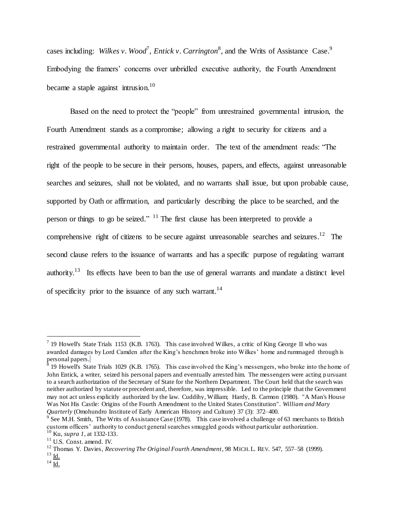cases including: *Wilkes v. Wood<sup>7</sup>, Entick v. Carrington*<sup>8</sup>, and the Writs of Assistance Case.<sup>9</sup> Embodying the framers' concerns over unbridled executive authority, the Fourth Amendment became a staple against intrusion.<sup>10</sup>

Based on the need to protect the "people" from unrestrained governmental intrusion, the Fourth Amendment stands as a compromise; allowing a right to security for citizens and a restrained governmental authority to maintain order. The text of the amendment reads: "The right of the people to be secure in their persons, houses, papers, and effects, against unreasonable searches and seizures, shall not be violated, and no warrants shall issue, but upon probable cause, supported by Oath or affirmation, and particularly describing the place to be searched, and the person or things to go be seized."  $11$  The first clause has been interpreted to provide a comprehensive right of citizens to be secure against unreasonable searches and seizures.<sup>12</sup> The second clause refers to the issuance of warrants and has a specific purpose of regulating warrant authority.<sup>13</sup> Its effects have been to ban the use of general warrants and mandate a distinct level of specificity prior to the issuance of any such warrant.<sup>14</sup>

<sup>&</sup>lt;sup>7</sup> 19 Howell's State Trials 1153 (K.B. 1763). This case involved Wilkes, a critic of King George II who was awarded damages by Lord Camden after the King's henchmen broke into Wilkes' home and rummaged through is personal papers. 8 19 Howell's State Trials 1029 (K.B. 1765). This case involved the King's messengers, who broke into the home of

John Entick, a writer, seized his personal papers and eventually arrested him. The messengers were acting p ursuant to a search authorization of the Secretary of State for the Northern Department. The Court held that the search was neither authorized by statute or precedent and, therefore, was impressible. Led to the principle that the Government may not act unless explicitly authorized by the law. Cuddihy, William; Hardy, B. Carmon (1980). "A Man's House Was Not His Castle: Origins of the Fourth Amendment to the United States Constitution". *William and Mary Quarterly* (Omohundro Institute of Early American History and Culture) 37 (3): 372–400.

<sup>&</sup>lt;sup>9</sup> See M.H. Smith, The Writs of Assistance Case (1978). This case involved a challenge of 63 merchants to British customs officers' authority to conduct general searches smuggled goods without particular authorization. <sup>10</sup> Ku, *supra 1,* at 1332-133.

<sup>&</sup>lt;sup>11</sup> U.S. Const. amend. IV.

<sup>12</sup> Thomas Y. Davies, *Recovering The Original Fourth Amendment*, 98 MICH.L. REV. 547, 557–58 (1999).

 $^{13}$  Id.  $14$  Id.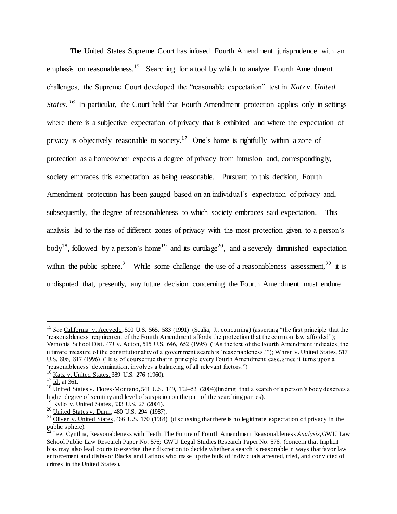The United States Supreme Court has infused Fourth Amendment jurisprudence with an emphasis on reasonableness.<sup>15</sup> Searching for a tool by which to analyze Fourth Amendment challenges, the Supreme Court developed the "reasonable expectation" test in *Katz v. United States.* <sup>16</sup> In particular, the Court held that Fourth Amendment protection applies only in settings where there is a subjective expectation of privacy that is exhibited and where the expectation of privacy is objectively reasonable to society.<sup>17</sup> One's home is rightfully within a zone of protection as a homeowner expects a degree of privacy from intrusion and, correspondingly, society embraces this expectation as being reasonable. Pursuant to this decision, Fourth Amendment protection has been gauged based on an individual's expectation of privacy and, subsequently, the degree of reasonableness to which society embraces said expectation. This analysis led to the rise of different zones of privacy with the most protection given to a person's body<sup>18</sup>, followed by a person's home<sup>19</sup> and its curtilage<sup>20</sup>, and a severely diminished expectation within the public sphere.<sup>21</sup> While some challenge the use of a reasonableness assessment,<sup>22</sup> it is undisputed that, presently, any future decision concerning the Fourth Amendment must endure

<sup>&</sup>lt;sup>15</sup> See California v. Acevedo, 500 U.S. 565, 583 (1991) (Scalia, J., concurring) (asserting "the first principle that the 'reasonableness' requirement of the Fourth Amendment affords the protection that the common law afforded"); Vernonia School Dist. 47J v. Acton, 515 U.S. 646, 652 (1995) ("As the text of the Fourth Amendment indicates, the ultimate measure of the constitutionality of a government search is 'reasonableness.'"); Whren v. United States, 517 U.S. 806, 817 (1996) ("It is of course true that in principle every Fourth Amendment case, since it turns upon a 'reasonableness' determination, involves a balancing of all relevant factors.")

<sup>&</sup>lt;sup>16</sup> Katz v. United States, 389 U.S. 276 (1960).

 $17 \overline{Id.}$  at 361.

 $18$  United States v. Flores-Montano, 541 U.S. 149, 152–53 (2004)(finding that a search of a person's body deserves a higher degree of scrutiny and level of suspicion on the part of the searching parties).

Kyllo v. United States, 533 U.S. 27 (2001).

<sup>&</sup>lt;sup>20</sup> United States v. Dunn, 480 U.S. 294 (1987).

<sup>&</sup>lt;sup>21</sup> Oliver v. United States, 466 U.S. 170 (1984) (discussing that there is no legitimate expectation of privacy in the public sphere).

<sup>22</sup> Lee, Cynthia, Reasonableness with Teeth: The Future of Fourth Amendment Reasonableness *Analysis*, GWU Law School Public Law Research Paper No. 576; GWU Legal Studies Research Paper No. 576. (concern that Implicit bias may also lead courts to exercise their discretion to decide whether a search is reasonable in ways that favor law enforcement and disfavor Blacks and Latinos who make up the bulk of individuals arrested, tried, and convicted of crimes in the United States).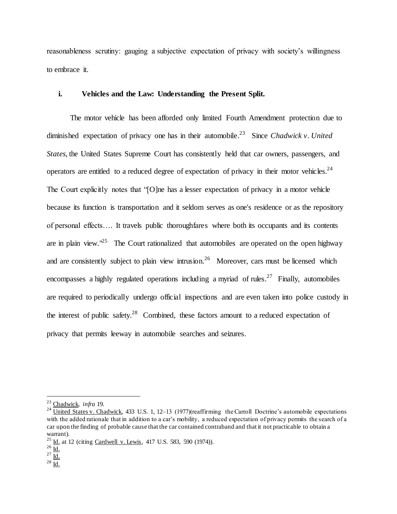reasonableness scrutiny: gauging a subjective expectation of privacy with society's willingness to embrace it.

#### **i. Vehicles and the Law: Understanding the Present Split.**

The motor vehicle has been afforded only limited Fourth Amendment protection due to diminished expectation of privacy one has in their automobile. <sup>23</sup> Since *Chadwick v. United States*, the United States Supreme Court has consistently held that car owners, passengers, and operators are entitled to a reduced degree of expectation of privacy in their motor vehicles.<sup>24</sup> The Court explicitly notes that "[O]ne has a lesser expectation of privacy in a motor vehicle because its function is transportation and it seldom serves as one's residence or as the repository of personal effects…. It travels public thoroughfares where both its occupants and its contents are in plain view.<sup> $25$ </sup> The Court rationalized that automobiles are operated on the open highway and are consistently subject to plain view intrusion.<sup>26</sup> Moreover, cars must be licensed which encompasses a highly regulated operations including a myriad of rules.<sup>27</sup> Finally, automobiles are required to periodically undergo official inspections and are even taken into police custody in the interest of public safety.<sup>28</sup> Combined, these factors amount to a reduced expectation of privacy that permits leeway in automobile searches and seizures.

<sup>23</sup> Chadwick, *infra* 19.

<sup>&</sup>lt;sup>24</sup> United States v. Chadwick, 433 U.S. 1, 12–13 (1977)(reaffirming the Carroll Doctrine's automobile expectations with the added rationale that in addition to a car's mobility, a reduced expectation of privacy permits the search of a car upon the finding of probable cause that the car contained contraband and that it not practicable to obtain a warrant).

<sup>25</sup> Id. at 12 (citing Cardwell v. Lewis*,* 417 U.S. 583, 590 (1974)).

 $^{26}$  Id.

 $^{27}$   $\frac{\text{1d}}{\text{1d}}$ .

<sup>28</sup> Id.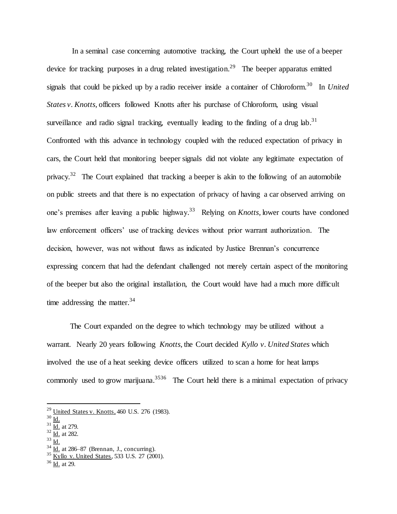In a seminal case concerning automotive tracking, the Court upheld the use of a beeper device for tracking purposes in a drug related investigation.<sup>29</sup> The beeper apparatus emitted signals that could be picked up by a radio receiver inside a container of Chloroform. 30 In *United States v. Knotts,* officers followed Knotts after his purchase of Chloroform, using visual surveillance and radio signal tracking, eventually leading to the finding of a drug lab.<sup>31</sup> Confronted with this advance in technology coupled with the reduced expectation of privacy in cars, the Court held that monitoring beeper signals did not violate any legitimate expectation of privacy.<sup>32</sup> The Court explained that tracking a beeper is akin to the following of an automobile on public streets and that there is no expectation of privacy of having a car observed arriving on one's premises after leaving a public highway. <sup>33</sup> Relying on *Knotts,* lower courts have condoned law enforcement officers' use of tracking devices without prior warrant authorization. The decision, however, was not without flaws as indicated by Justice Brennan's concurrence expressing concern that had the defendant challenged not merely certain aspect of the monitoring of the beeper but also the original installation, the Court would have had a much more difficult time addressing the matter.<sup>34</sup>

The Court expanded on the degree to which technology may be utilized without a warrant. Nearly 20 years following *Knotts*, the Court decided *Kyllo v. United States* which involved the use of a heat seeking device officers utilized to scan a home for heat lamps commonly used to grow marijuana.<sup>3536</sup> The Court held there is a minimal expectation of privacy

 $\overline{a}$ 

 $31 \overline{\mathrm{Id.}}$  at 279.

<sup>33</sup> Id.

 $^{29}$  United States v. Knotts, 460 U.S. 276 (1983).

 $30 \overline{\underline{\text{Id}}.}$ 

 $32 \overline{\mathrm{Id.}}$  at 282.

 $34 \overline{\text{Id.}}$  at 286–87 (Brennan, J., concurring).

 $\frac{35 \text{ Kyllo v. United States}}{233 \text{ U.S. } 27 \text{ (2001)}}$ .

 $36$  Id. at 29.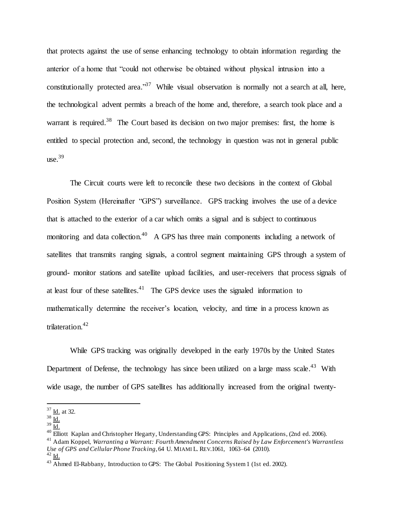that protects against the use of sense enhancing technology to obtain information regarding the anterior of a home that "could not otherwise be obtained without physical intrusion into a constitutionally protected area.<sup>37</sup> While visual observation is normally not a search at all, here, the technological advent permits a breach of the home and, therefore, a search took place and a warrant is required.<sup>38</sup> The Court based its decision on two major premises: first, the home is entitled to special protection and, second, the technology in question was not in general public use. 39

The Circuit courts were left to reconcile these two decisions in the context of Global Position System (Hereinafter "GPS") surveillance. GPS tracking involves the use of a device that is attached to the exterior of a car which omits a signal and is subject to continuous monitoring and data collection.<sup>40</sup> A GPS has three main components including a network of satellites that transmits ranging signals, a control segment maintaining GPS through a system of ground- monitor stations and satellite upload facilities, and user-receivers that process signals of at least four of these satellites. $41$  The GPS device uses the signaled information to mathematically determine the receiver's location, velocity, and time in a process known as trilateration. 42

While GPS tracking was originally developed in the early 1970s by the United States Department of Defense, the technology has since been utilized on a large mass scale.<sup>43</sup> With wide usage, the number of GPS satellites has additionally increased from the original twenty-

 $37$  <u>Id.</u> at 32.

 $38$  Id.

 $39 \overline{\mathrm{Id}}$ .

<sup>&</sup>lt;sup>40</sup> Elliott Kaplan and Christopher Hegarty, Understanding GPS: Principles and Applications, (2nd ed. 2006).

<sup>41</sup> Adam Koppel, *Warranting a Warrant: Fourth Amendment Concerns Raised by Law Enforcement's Warrantless Use of GPS and Cellular Phone Tracking*, 64 U. MIAMI L. REV.1061, 1063–64 (2010).

 $42$  Id.

<sup>&</sup>lt;sup>43</sup> Ahmed El-Rabbany, Introduction to GPS: The Global Positioning System 1 (1st ed. 2002).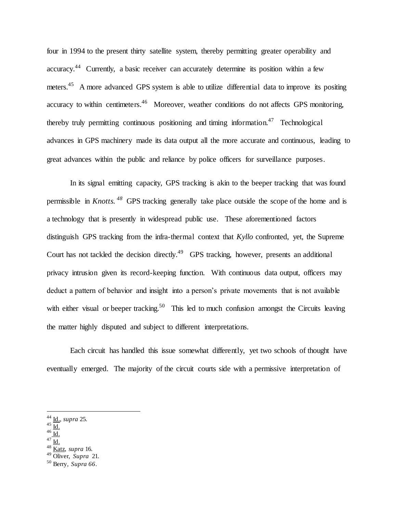four in 1994 to the present thirty satellite system, thereby permitting greater operability and accuracy.<sup>44</sup> Currently, a basic receiver can accurately determine its position within a few meters.<sup>45</sup> A more advanced GPS system is able to utilize differential data to improve its positing accuracy to within centimeters.<sup>46</sup> Moreover, weather conditions do not affects GPS monitoring, thereby truly permitting continuous positioning and timing information.<sup>47</sup> Technological advances in GPS machinery made its data output all the more accurate and continuous, leading to great advances within the public and reliance by police officers for surveillance purposes.

In its signal emitting capacity, GPS tracking is akin to the beeper tracking that was found permissible in *Knotts. 48* GPS tracking generally take place outside the scope of the home and is a technology that is presently in widespread public use. These aforementioned factors distinguish GPS tracking from the infra-thermal context that *Kyllo* confronted, yet, the Supreme Court has not tackled the decision directly.<sup>49</sup> GPS tracking, however, presents an additional privacy intrusion given its record-keeping function. With continuous data output, officers may deduct a pattern of behavior and insight into a person's private movements that is not available with either visual or beeper tracking.<sup>50</sup> This led to much confusion amongst the Circuits leaving the matter highly disputed and subject to different interpretations.

Each circuit has handled this issue somewhat differently, yet two schools of thought have eventually emerged. The majority of the circuit courts side with a permissive interpretation of

- $^{45}$   $\overline{\mathrm{Id}}$ .
- $46 \overline{Id}$ .

- $^{47}$  Id.
- <sup>48</sup> Katz, *supra* 16.
- <sup>49</sup> Oliver, *Supra* 21*.*

<sup>44</sup> Id., *supra* 25.

<sup>50</sup> Berry, *Supra 66*.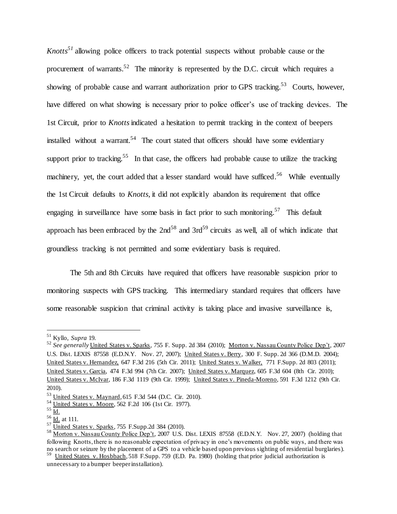*Knotts<sup>51</sup>* allowing police officers to track potential suspects without probable cause or the procurement of warrants.<sup>52</sup> The minority is represented by the D.C. circuit which requires a showing of probable cause and warrant authorization prior to GPS tracking.<sup>53</sup> Courts, however, have differed on what showing is necessary prior to police officer's use of tracking devices. The 1st Circuit, prior to *Knotts*indicated a hesitation to permit tracking in the context of beepers installed without a warrant.<sup>54</sup> The court stated that officers should have some evidentiary support prior to tracking.<sup>55</sup> In that case, the officers had probable cause to utilize the tracking machinery, yet, the court added that a lesser standard would have sufficed.<sup>56</sup> While eventually the 1st Circuit defaults to *Knotts,* it did not explicitly abandon its requirement that office engaging in surveillance have some basis in fact prior to such monitoring.<sup>57</sup> This default approach has been embraced by the  $2nd^{58}$  and  $3rd^{59}$  circuits as well, all of which indicate that groundless tracking is not permitted and some evidentiary basis is required.

The 5th and 8th Circuits have required that officers have reasonable suspicion prior to monitoring suspects with GPS tracking. This intermediary standard requires that officers have some reasonable suspicion that criminal activity is taking place and invasive surveillance is,

<sup>51</sup> Kyllo, *Supra* 19.

<sup>52</sup> *See generally* United States v. Sparks, 755 F. Supp. 2d 384 (2010); Morton v. Nassau County Police Dep't, 2007 U.S. Dist. LEXIS 87558 (E.D.N.Y. Nov. 27, 2007); United States v. Berry, 300 F. Supp. 2d 366 (D.M.D. 2004); United States v. Hernandez, 647 F.3d 216 (5th Cir. 2011); United States v. Walker, 771 F.Supp. 2d 803 (2011); United States v. Garcia, 474 F.3d 994 (7th Cir. 2007); United States v. Marquez, 605 F.3d 604 (8th Cir. 2010); United States v. McIvar, 186 F.3d 1119 (9th Cir. 1999); United States v. Pineda-Moreno, 591 F.3d 1212 (9th Cir. 2010).

<sup>53</sup> United States v. Maynard, 615 F.3d 544 (D.C. Cir. 2010).

<sup>54</sup> United States v. Moore, 562 F.2d 106 (1st Cir. 1977).

 $55 \underline{\text{Id.}}$ 

 $56 \overline{\mathrm{Id}}$ . at 111.

 $57 \overline{\text{United States v. Sparks}}$ , 755 F.Supp.2d 384 (2010).

<sup>&</sup>lt;sup>58</sup> Morton v. Nassau County Police Dep't, 2007 U.S. Dist. LEXIS 87558 (E.D.N.Y. Nov. 27, 2007) (holding that following Knotts, there is no reasonable expectation of privacy in one's movements on public ways, and there was no search or seizure by the placement of a GPS to a vehicle based upon previous sighting of residential burglaries).<br><sup>59</sup> United States v. Hosbbach, 518 F.Supp. 759 (E.D. Pa. 1980) (holding that prior judicial authorizatio

unnecessary to a bumper beeper installation).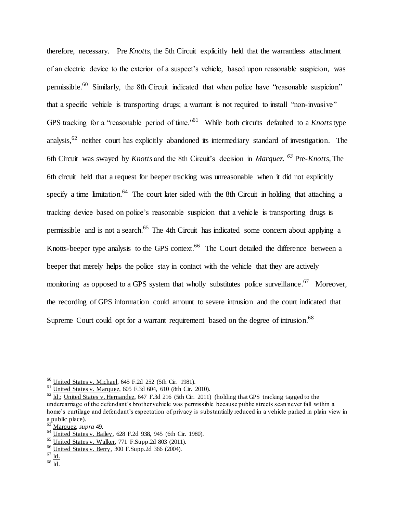therefore, necessary. Pre *Knotts,* the 5th Circuit explicitly held that the warrantless attachment of an electric device to the exterior of a suspect's vehicle, based upon reasonable suspicion, was permissible.<sup>60</sup> Similarly, the 8th Circuit indicated that when police have "reasonable suspicion" that a specific vehicle is transporting drugs; a warrant is not required to install "non-invasive" GPS tracking for a "reasonable period of time." <sup>61</sup> While both circuits defaulted to a *Knotts* type analysis.<sup>62</sup> neither court has explicitly abandoned its intermediary standard of investigation. The 6th Circuit was swayed by *Knotts* and the 8th Circuit's decision in *Marquez. <sup>63</sup>* Pre-*Knotts,* The 6th circuit held that a request for beeper tracking was unreasonable when it did not explicitly specify a time limitation.<sup>64</sup> The court later sided with the 8th Circuit in holding that attaching a tracking device based on police's reasonable suspicion that a vehicle is transporting drugs is permissible and is not a search.<sup>65</sup> The 4th Circuit has indicated some concern about applying a Knotts-beeper type analysis to the GPS context.<sup>66</sup> The Court detailed the difference between a beeper that merely helps the police stay in contact with the vehicle that they are actively monitoring as opposed to a GPS system that wholly substitutes police surveillance.<sup>67</sup> Moreover, the recording of GPS information could amount to severe intrusion and the court indicated that Supreme Court could opt for a warrant requirement based on the degree of intrusion.<sup>68</sup>

<sup>60</sup> United States v. Michael, 645 F.2d 252 (5th Cir. 1981).

<sup>61</sup> United States v. Marquez, 605 F.3d 604, 610 (8th Cir. 2010).

 $62$  Id.; United States v. Hernandez, 647 F.3d 216 (5th Cir. 2011) (holding that GPS tracking tagged to the undercarriage of the defendant's brother vehicle was permissible because public streets scan never fall within a home's curtilage and defendant's expectation of privacy is substantially reduced in a vehicle parked in plain view in a public place).

<sup>63</sup> Marquez, *supra* 49.

<sup>64</sup> United States v. Bailey, 628 F.2d 938, 945 (6th Cir. 1980).

 $65$  United States v. Walker, 771 F.Supp.2d 803 (2011).

<sup>66</sup> United States v. Berry, 300 F.Supp.2d 366 (2004).

 $67 \overline{\mathrm{Id}}$ .

 $68$  Id.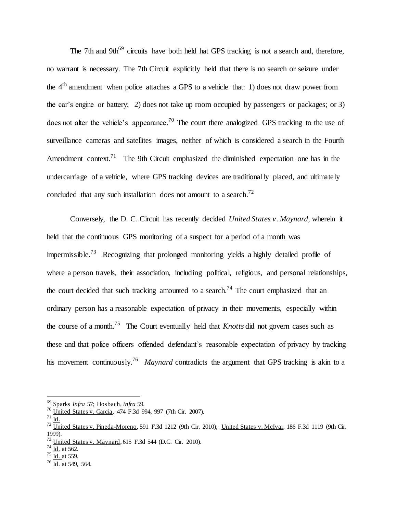The 7th and 9th<sup>69</sup> circuits have both held hat GPS tracking is not a search and, therefore, no warrant is necessary. The 7th Circuit explicitly held that there is no search or seizure under the  $4<sup>th</sup>$  amendment when police attaches a GPS to a vehicle that: 1) does not draw power from the car's engine or battery; 2) does not take up room occupied by passengers or packages; or 3) does not alter the vehicle's appearance.<sup>70</sup> The court there analogized GPS tracking to the use of surveillance cameras and satellites images, neither of which is considered a search in the Fourth Amendment context.<sup>71</sup> The 9th Circuit emphasized the diminished expectation one has in the undercarriage of a vehicle, where GPS tracking devices are traditionally placed, and ultimately concluded that any such installation does not amount to a search.<sup>72</sup>

Conversely, the D. C. Circuit has recently decided *United States v. Maynard,* wherein it held that the continuous GPS monitoring of a suspect for a period of a month was impermissible.<sup>73</sup> Recognizing that prolonged monitoring yields a highly detailed profile of where a person travels, their association, including political, religious, and personal relationships, the court decided that such tracking amounted to a search.<sup>74</sup> The court emphasized that an ordinary person has a reasonable expectation of privacy in their movements, especially within the course of a month.<sup>75</sup> The Court eventually held that *Knotts* did not govern cases such as these and that police officers offended defendant's reasonable expectation of privacy by tracking his movement continuously. <sup>76</sup> *Maynard* contradicts the argument that GPS tracking is akin to a

<sup>69</sup> Sparks *Infra* 57; Hosbach, *infra* 59.

 $70$  United States v. Garcia, 474 F.3d 994, 997 (7th Cir. 2007).

 $^{71}$  Id.

 $^{72}$  United States v. Pineda-Moreno, 591 F.3d 1212 (9th Cir. 2010); United States v. McIvar, 186 F.3d 1119 (9th Cir. 1999).

 $^{73}$  United States v. Maynard, 615 F.3d 544 (D.C. Cir. 2010).

 $^{74}$   $\overline{Id}$ , at 562.

 $^{75}$   $\frac{10}{10}$  at 559.

 $^{76}$  Id. at 549, 564.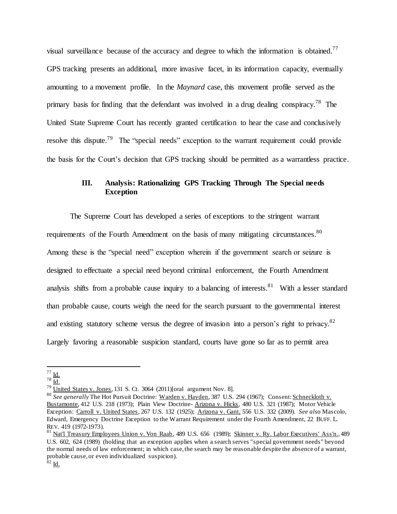visual surveillance because of the accuracy and degree to which the information is obtained.<sup>77</sup> GPS tracking presents an additional, more invasive facet, in its information capacity, eventually amounting to a movement profile. In the *Maynard* case, this movement profile served as the primary basis for finding that the defendant was involved in a drug dealing conspiracy.<sup>78</sup> The United State Supreme Court has recently granted certification to hear the case and conclusively resolve this dispute.<sup>79</sup> The "special needs" exception to the warrant requirement could provide the basis for the Court's decision that GPS tracking should be permitted as a warrantless practice.

## **III. Analysis: Rationalizing GPS Tracking Through The Special needs Exception**

The Supreme Court has developed a series of exceptions to the stringent warrant requirements of the Fourth Amendment on the basis of many mitigating circumstances.<sup>80</sup> Among these is the "special need" exception wherein if the government search or seizure is designed to effectuate a special need beyond criminal enforcement, the Fourth Amendment analysis shifts from a probable cause inquiry to a balancing of interests.<sup>81</sup> With a lesser standard than probable cause, courts weigh the need for the search pursuant to the governmental interest and existing statutory scheme versus the degree of invasion into a person's right to privacy.<sup>82</sup> Largely favoring a reasonable suspicion standard, courts have gone so far as to permit area

 $^{77}$  Id.

 $^{78}$  Id.

 $^{79}$  United States v. Jones, 131 S. Ct. 3064 (2011)[oral argument Nov. 8].

<sup>&</sup>lt;sup>80</sup> See generally The Hot Pursuit Doctrine: Warden v. Hayden, 387 U.S. 294 (1967); Consent: Schneckloth v. Bustamonte, 412 U.S. 218 (1973); Plain View Doctrine- Arizona v. Hicks, 480 U.S. 321 (1987); Motor Vehicle Exception: Carroll v. United States, 267 U.S. 132 (1925); Arizona v. Gant, 556 U.S. 332 (2009). *See als*o Mascolo, Edward, Emergency Doctrine Exception to the Warrant Requirement under the Fourth Amendment, 22 BUFF. L. REV. 419 (1972-1973).

<sup>81</sup> Nat'l Treasury Employees Union v. Von Raab, 489 U.S. 656 (1989); Skinner v. Ry. Labor Executives' Ass'n., 489 U.S. 602, 624 (1989) (holding that an exception applies when a search serves "special government needs" beyond the normal needs of law enforcement; in which case, the search may be reasonable despite the absence of a warrant, probable cause, or even individualized suspicion).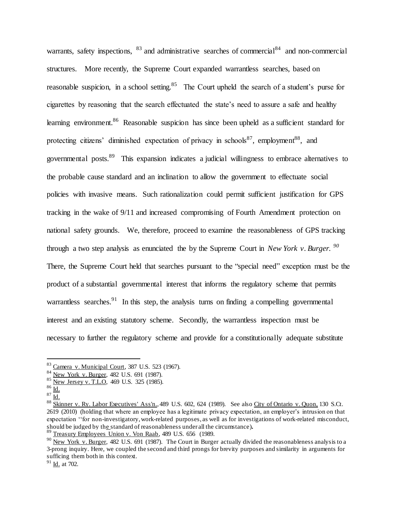warrants, safety inspections,  $83$  and administrative searches of commercial  $84$  and non-commercial structures. More recently, the Supreme Court expanded warrantless searches, based on reasonable suspicion, in a school setting.<sup>85</sup> The Court upheld the search of a student's purse for cigarettes by reasoning that the search effectuated the state's need to assure a safe and healthy learning environment. <sup>86</sup> Reasonable suspicion has since been upheld as a sufficient standard for protecting citizens' diminished expectation of privacy in schools<sup>87</sup>, employment<sup>88</sup>, and governmental posts.<sup>89</sup> This expansion indicates a judicial willingness to embrace alternatives to the probable cause standard and an inclination to allow the government to effectuate social policies with invasive means. Such rationalization could permit sufficient justification for GPS tracking in the wake of 9/11 and increased compromising of Fourth Amendment protection on national safety grounds. We, therefore, proceed to examine the reasonableness of GPS tracking through a two step analysis as enunciated the by the Supreme Court in *New York v. Burger. 90* There, the Supreme Court held that searches pursuant to the "special need" exception must be the product of a substantial governmental interest that informs the regulatory scheme that permits warrantless searches.<sup>91</sup> In this step, the analysis turns on finding a compelling governmental interest and an existing statutory scheme. Secondly, the warrantless inspection must be necessary to further the regulatory scheme and provide for a constitutionally adequate substitute

 $\overline{a}$ 

 $89$  Treasury Employees Union v. Von Raab, 489 U.S. 656 (1989.

<sup>83</sup> Camera v. Municipal Court, 387 U.S. 523 (1967).

<sup>&</sup>lt;sup>84</sup> New York v. Burger, 482 U.S. 691 (1987).

<sup>85</sup> New Jersey v. T.L.O, 469 U.S. 325 (1985).

 $86 \underline{\mathsf{Id}}$ .

 $87 \underline{\mathsf{Id}}$ .

<sup>88</sup> Skinner v. Ry. Labor Executives' Ass'n., 489 U.S. 602, 624 (1989). See also City of Ontario v. Quon, 130 S.Ct. 2619 (2010) (holding that where an employee has a legitimate privacy expectation, an employer's intrusion on that expectation ''for non-investigatory, work-related purposes, as well as for investigations of work-related misconduct, should be judged by the standard of reasonableness under all the circumstance)**.** 

<sup>&</sup>lt;sup>90</sup> New York v. Burger, 482 U.S. 691 (1987). The Court in Burger actually divided the reasonableness analysis to a 3-prong inquiry. Here, we coupled the second and third prongs for brevity purposes and similarity in arguments for sufficing them both in this context.

 $91$  Id. at 702.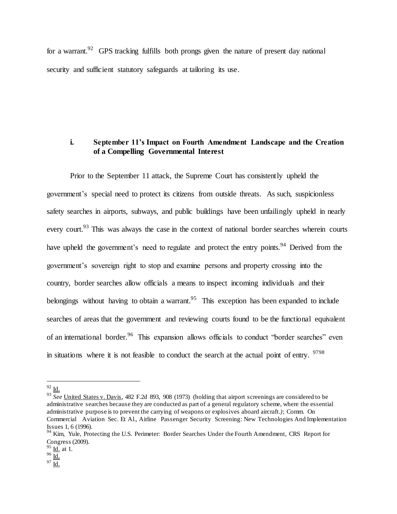for a warrant.<sup>92</sup> GPS tracking fulfills both prongs given the nature of present day national security and sufficient statutory safeguards at tailoring its use.

### **i. September 11's Impact on Fourth Amendment Landscape and the Creation of a Compelling Governmental Interest**

Prior to the September 11 attack, the Supreme Court has consistently upheld the government's special need to protect its citizens from outside threats. As such, suspicionless safety searches in airports, subways, and public buildings have been unfailingly upheld in nearly every court.<sup>93</sup> This was always the case in the context of national border searches wherein courts have upheld the government's need to regulate and protect the entry points.<sup>94</sup> Derived from the government's sovereign right to stop and examine persons and property crossing into the country, border searches allow officials a means to inspect incoming individuals and their belongings without having to obtain a warrant.<sup>95</sup> This exception has been expanded to include searches of areas that the government and reviewing courts found to be the functional equivalent of an international border.<sup>96</sup> This expansion allows officials to conduct "border searches" even in situations where it is not feasible to conduct the search at the actual point of entry.  $9798$ 

 $92$  Id.

<sup>&</sup>lt;sup>93</sup> See United States v. Davis, 482 F.2d 893, 908 (1973) (holding that airport screenings are considered to be administrative searches because they are conducted as part of a general regulatory scheme, where the essential administrative purpose is to prevent the carrying of weapons or explosives aboard aircraft*.)*; Comm. On Commercial Aviation Sec. Et Al., Airline Passenger Security Screening: New Technologies And Implementation Issues 1, 6 (1996).

<sup>&</sup>lt;sup>94</sup> Kim, Yule, Protecting the U.S. Perimeter: Border Searches Under the Fourth Amendment, CRS Report for Congress (2009).

 $\frac{95}{10}$  at 1.

 $96 \overline{Id}$ .

 $^{97}$  <u>Id.</u>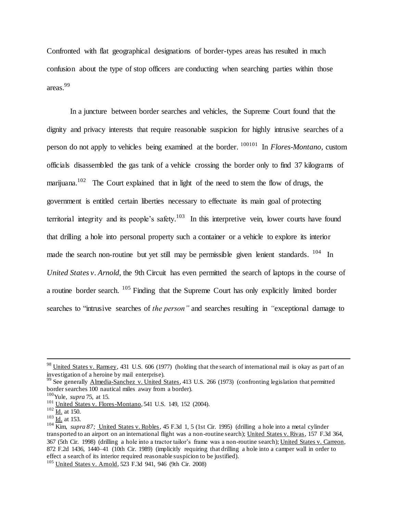Confronted with flat geographical designations of border-types areas has resulted in much confusion about the type of stop officers are conducting when searching parties within those areas. 99

In a juncture between border searches and vehicles, the Supreme Court found that the dignity and privacy interests that require reasonable suspicion for highly intrusive searches of a person do not apply to vehicles being examined at the border. 100101 In *Flores-Montano,* custom officials disassembled the gas tank of a vehicle crossing the border only to find 37 kilograms of marijuana.<sup>102</sup> The Court explained that in light of the need to stem the flow of drugs, the government is entitled certain liberties necessary to effectuate its main goal of protecting territorial integrity and its people's safety.<sup>103</sup> In this interpretive vein, lower courts have found that drilling a hole into personal property such a container or a vehicle to explore its interior made the search non-routine but yet still may be permissible given lenient standards. <sup>104</sup> In *United States v. Arnold*, the 9th Circuit has even permitted the search of laptops in the course of a routine border search. <sup>105</sup> Finding that the Supreme Court has only explicitly limited border searches to "intrusive searches of *the person"* and searches resulting in *"*exceptional damage to

<sup>&</sup>lt;sup>98</sup> United States v. Ramsey, 431 U.S. 606 (1977) (holding that the search of international mail is okay as part of an investigation of a heroine by mail enterprise).

<sup>&</sup>lt;sup>99</sup> See generally Almedia-Sanchez v. United States, 413 U.S. 266 (1973) (confronting legislation that permitted border searches 100 nautical miles away from a border).

<sup>100</sup>Yule, *supra* 75, at 15.

<sup>&</sup>lt;sup>101</sup> United States v. Flores-Montano, 541 U.S. 149, 152 (2004).

 $102 \underline{Id.}$  at 150.

 $103$  <u>Id.</u> at 153.

<sup>104</sup> Kim, *supra 87;* United States v. Robles, 45 F.3d 1, 5 (1st Cir. 1995) (drilling a hole into a metal cylinder transported to an airport on an international flight was a non-routine search); United States v. Rivas, 157 F.3d 364, 367 (5th Cir. 1998) (drilling a hole into a tractor tailor's frame was a non-routine search); United States v. Carreon, 872 F.2d 1436, 1440–41 (10th Cir. 1989) (implicitly requiring that drilling a hole into a camper wall in order to effect a search of its interior required reasonable suspicion to be justified).

<sup>105</sup> United States v. Arnold, 523 F.3d 941, 946 (9th Cir. 2008)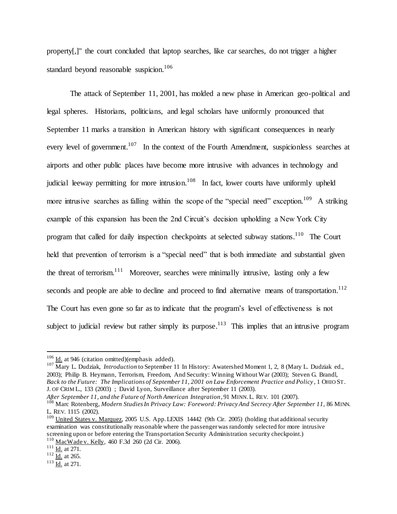property[,]" the court concluded that laptop searches, like car searches, do not trigger a higher standard beyond reasonable suspicion.<sup>106</sup>

The attack of September 11, 2001, has molded a new phase in American geo-political and legal spheres. Historians, politicians, and legal scholars have uniformly pronounced that September 11 marks a transition in American history with significant consequences in nearly every level of government.<sup>107</sup> In the context of the Fourth Amendment, suspicionless searches at airports and other public places have become more intrusive with advances in technology and judicial leeway permitting for more intrusion.<sup>108</sup> In fact, lower courts have uniformly upheld more intrusive searches as falling within the scope of the "special need" exception.<sup>109</sup> A striking example of this expansion has been the 2nd Circuit's decision upholding a New York City program that called for daily inspection checkpoints at selected subway stations.<sup>110</sup> The Court held that prevention of terrorism is a "special need" that is both immediate and substantial given the threat of terrorism.<sup>111</sup> Moreover, searches were minimally intrusive, lasting only a few seconds and people are able to decline and proceed to find alternative means of transportation.<sup>112</sup> The Court has even gone so far as to indicate that the program's level of effectiveness is not subject to judicial review but rather simply its purpose.<sup>113</sup> This implies that an intrusive program

<sup>107</sup> Mary L. Dudziak, *Introduction* to September 11 In History: Awatershed Moment 1, 2, 8 (Mary L. Dudziak ed., 2003); Philip B. Heymann, Terrorism, Freedom, And Security: Winning Without War (2003); Steven G. Brandl, *Back to the Future: The Implications of September 11, 2001 on Law Enforcement Practice and Policy* , 1 OHIO ST. J. OF CRIM L., 133 (2003) ; David Lyon, Surveillance after September 11 (2003).

*After September 11, and the Future of North American Integration*, 91 MINN.L. REV. 101 (2007). <sup>108</sup> Marc Rotenberg, *Modern Studies In Privacy Law: Foreword: Privacy And Secrecy After September 11,* 86 MINN. L. REV. 1115 (2002).

 $106$  Id. at 946 (citation omitted)(emphasis added).

<sup>&</sup>lt;sup>109</sup> United States v. Marquez, 2005 U.S. App. LEXIS 14442 (9th Cir. 2005) (holding that additional security examination was constitutionally reasonable where the passenger was randomly selected for more intrusive screening upon or before entering the Transportation Security Administration security checkpoint.) <sup>110</sup> MacWade v. Kelly, 460 F.3d 260 (2d Cir. 2006).

 $111$  Id. at 271.

 $\frac{112}{\underline{Id}}$  at 265.

 $\frac{113}{\text{Id.}}$  at 271.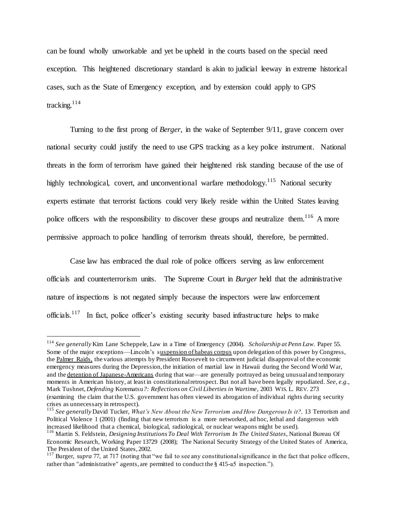can be found wholly unworkable and yet be upheld in the courts based on the special need exception. This heightened discretionary standard is akin to judicial leeway in extreme historical cases, such as the State of Emergency exception, and by extension could apply to GPS tracking.<sup>114</sup>

Turning to the first prong of *Berger*, in the wake of September 9/11, grave concern over national security could justify the need to use GPS tracking as a key police instrument. National threats in the form of terrorism have gained their heightened risk standing because of the use of highly technological, covert, and unconventional warfare methodology.<sup>115</sup> National security experts estimate that terrorist factions could very likely reside within the United States leaving police officers with the responsibility to discover these groups and neutralize them.<sup>116</sup> A more permissive approach to police handling of terrorism threats should, therefore, be permitted.

Case law has embraced the dual role of police officers serving as law enforcement officials and counterterrorism units. The Supreme Court in *Burger* held that the administrative nature of inspections is not negated simply because the inspectors were law enforcement officials.<sup>117</sup> In fact, police officer's existing security based infrastructure helps to make

<sup>114</sup> *See generally* Kim Lane Scheppele, Law in a Time of Emergency (2004). *Scholarship at Penn Law.* Paper 55. Some of the major exceptions—Lincoln's suspension of habeas corpus upon delegation of this power by Congress, the Palmer Raids, the various attempts by President Roosevelt to circumvent judicial disapproval of the economic emergency measures during the Depression, the initiation of martial law in Hawaii during the Second World War, and the detention of Japanese-Americans during that war—are generally portrayed as being unusual and temporary moments in American history, at least in constitutional retrospect. But not all have been legally repudiated. *See, e.g.*, Mark Tushnet, *Defending* Korematsu*?: Reflections on Civil Liberties in Wartime*, 2003 WIS. L. REV. 273 (examining the claim that the U.S. government has often viewed its abrogation of individual rights during security crises as unnecessary in retrospect).

<sup>&</sup>lt;sup>115</sup> See generally David Tucker, *What's New About the New Terrorism and How Dangerous Is it?*, 13 Terrorism and Political Violence 1 (2001) (finding that new terrorism is a more networked, ad hoc, lethal and dangerous with increased likelihood that a chemical, biological, radiological, or nuclear weapons might be used).

<sup>116</sup> Martin S. Feldstein, *Designing Institutions To Deal With Terrorism In The United States*, National Bureau Of Economic Research, Working Paper 13729 (2008); The National Security Strategy of the United States of America, The President of the United States, 2002.

<sup>&</sup>lt;sup>117</sup> Burger, *supra* 77, at 717 (noting that "we fail to see any constitutional significance in the fact that police officers, rather than "administrative" agents, are permitted to conduct the § 415-a5 inspection.").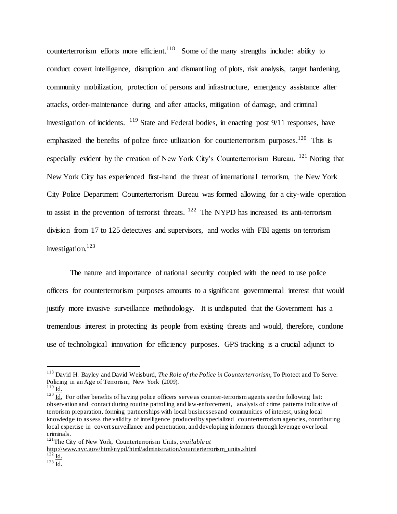counterterrorism efforts more efficient.<sup>118</sup> Some of the many strengths include: ability to conduct covert intelligence, disruption and dismantling of plots, risk analysis, target hardening, community mobilization, protection of persons and infrastructure, emergency assistance after attacks, order-maintenance during and after attacks, mitigation of damage, and criminal investigation of incidents. <sup>119</sup> State and Federal bodies, in enacting post 9/11 responses, have emphasized the benefits of police force utilization for counterterrorism purposes.<sup>120</sup> This is especially evident by the creation of New York City's Counterterrorism Bureau.  $^{121}$  Noting that New York City has experienced first-hand the threat of international terrorism, the New York City Police Department Counterterrorism Bureau was formed allowing for a city-wide operation to assist in the prevention of terrorist threats.  $122$  The NYPD has increased its anti-terrorism division from 17 to 125 detectives and supervisors, and works with FBI agents on terrorism investigation. 123

The nature and importance of national security coupled with the need to use police officers for counterterrorism purposes amounts to a significant governmental interest that would justify more invasive surveillance methodology. It is undisputed that the Government has a tremendous interest in protecting its people from existing threats and would, therefore, condone use of technological innovation for efficiency purposes. GPS tracking is a crucial adjunct to

 $\overline{a}$ 

[http://www.nyc.gov/html/nypd/html/administration/counterterrorism\\_units.shtml](http://www.nyc.gov/html/nypd/html/administration/counterterrorism_units.shtml)  $\frac{122}{\underline{\mathsf{Id}}}}$ .

<sup>118</sup> David H. Bayley and David Weisburd, *The Role of the Police in Counterterrorism*, To Protect and To Serve: Policing in an Age of Terrorism, New York (2009).

 $119$  Id.

 $120 \overline{Id}$ . For other benefits of having police officers serve as counter-terrorism agents see the following list: observation and contact during routine patrolling and law-enforcement, analysis of crime patterns indicative of terrorism preparation, forming partnerships with local businesses and communities of interest, using local knowledge to assess the validity of intelligence produced by specialized counterterrorism agencies, contributing local expertise in covert surveillance and penetration, and developing informers through leverage over local criminals.

<sup>121</sup>The City of New York, Counterterrorism Units, *available at* 

 $\frac{1}{123} \frac{1}{\underline{Id}}$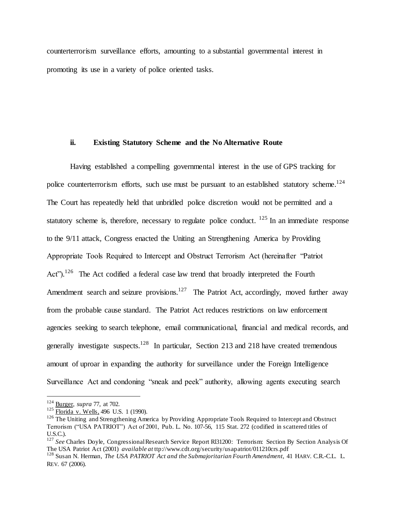counterterrorism surveillance efforts, amounting to a substantial governmental interest in promoting its use in a variety of police oriented tasks.

#### **ii. Existing Statutory Scheme and the No Alternative Route**

Having established a compelling governmental interest in the use of GPS tracking for police counterterrorism efforts, such use must be pursuant to an established statutory scheme.<sup>124</sup> The Court has repeatedly held that unbridled police discretion would not be permitted and a statutory scheme is, therefore, necessary to regulate police conduct.  $^{125}$  In an immediate response to the 9/11 attack, Congress enacted the Uniting an Strengthening America by Providing Appropriate Tools Required to Intercept and Obstruct Terrorism Act (hereinafter "Patriot Act").<sup>126</sup> The Act codified a federal case law trend that broadly interpreted the Fourth Amendment search and seizure provisions.<sup>127</sup> The Patriot Act, accordingly, moved further away from the probable cause standard. The Patriot Act reduces restrictions on law enforcement agencies seeking to search telephone, email communicational, financial and medical records, and generally investigate suspects.<sup>128</sup> In particular, Section 213 and 218 have created tremendous amount of uproar in expanding the authority for surveillance under the Foreign Intelligence Surveillance Act and condoning "sneak and peek" authority, allowing agents executing search

<sup>124</sup> Burger, *supra* 77, at 702.

 $125 \frac{\text{Euclidean}}{\text{Florida}}$  v. Wells, 496 U.S. 1 (1990).

<sup>&</sup>lt;sup>126</sup> The Uniting and Strengthening America by Providing Appropriate Tools Required to Intercept and Obstruct Terrorism ("USA PATRIOT") Act of 2001, Pub. L. No. 107-56, 115 Stat. 272 (codified in scattered titles of U.S.C.).

<sup>&</sup>lt;sup>127</sup> See Charles Doyle, Congressional Research Service Report Rl31200: Terrorism: Section By Section Analysis Of The USA Patriot Act (2001) *available at* ttp://www.cdt.org/security/usapatriot/011210crs.pdf

<sup>128</sup> Susan N. Herman, *The USA PATRIOT Act and the Submajoritarian Fourth Amendment,* 41 HARV. C.R.-C.L. L. REV. 67 (2006).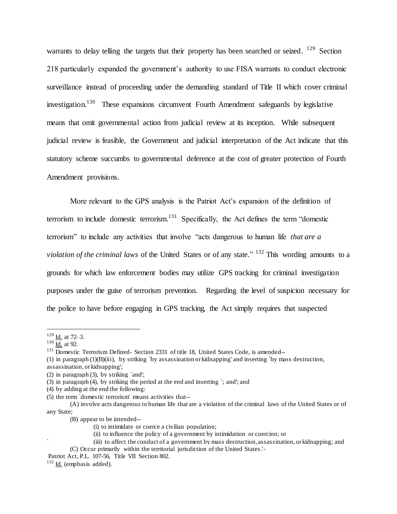warrants to delay telling the targets that their property has been searched or seized. <sup>129</sup> Section 218 particularly expanded the government's authority to use FISA warrants to conduct electronic surveillance instead of proceeding under the demanding standard of Title II which cover criminal investigation.<sup>130</sup> These expansions circumvent Fourth Amendment safeguards by legislative means that omit governmental action from judicial review at its inception. While subsequent judicial review is feasible, the Government and judicial interpretation of the Act indicate that this statutory scheme succumbs to governmental deference at the cost of greater protection of Fourth Amendment provisions.

More relevant to the GPS analysis is the Patriot Act's expansion of the definition of terrorism to include domestic terrorism.<sup>131</sup> Specifically, the Act defines the term "domestic terrorism" to include any activities that involve "acts dangerous to human life *that are a violation of the criminal laws* of the United States or of any state." <sup>132</sup> This wording amounts to a grounds for which law enforcement bodies may utilize GPS tracking for criminal investigation purposes under the guise of terrorism prevention. Regarding the level of suspicion necessary for the police to have before engaging in GPS tracking, the Act simply requires that suspected

 $\overline{a}$ 

(4) by adding at the end the following:

 $129$  <u>Id.</u> at 72–3.

 $\frac{130}{\underline{\text{Id.}}}$  at 92.

<sup>&</sup>lt;sup>131</sup> Domestic Terrorism Defined- Section 2331 of title 18, United States Code, is amended--

<sup>(1)</sup> in paragraph (1)(B)(iii), by striking `by assassination or kidnapping' and inserting `by mass destruction, assassination, or kidnapping';

<sup>(2)</sup> in paragraph (3), by striking `and';

<sup>(3)</sup> in paragraph (4), by striking the period at the end and inserting `; and'; and

<sup>(5)</sup> the term `domestic terrorism' means activities that--

<sup>(</sup>A) involve acts dangerous to human life that are a violation of the criminal laws of the United States or of any State;

<sup>(</sup>B) appear to be intended--

<sup>(</sup>i) to intimidate or coerce a civilian population;

<sup>(</sup>ii) to influence the policy of a government by intimidation or coercion; or

<sup>`</sup> (iii) to affect the conduct of a government by mass destruction, assassination, or kidnapping; and (C) Occur primarily within the territorial jurisdiction of the United States.'-

Patriot Act, P.L. 107-56, Title VII Section 802.

<sup>132</sup> Id. (emphasis added).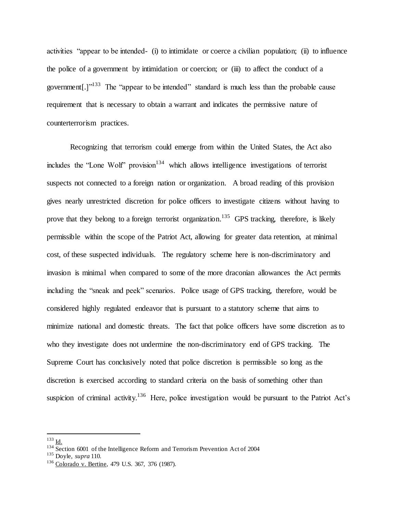activities "appear to be intended- (i) to intimidate or coerce a civilian population; (ii) to influence the police of a government by intimidation or coercion; or (iii) to affect the conduct of a government[.] $1^{133}$  The "appear to be intended" standard is much less than the probable cause requirement that is necessary to obtain a warrant and indicates the permissive nature of counterterrorism practices.

Recognizing that terrorism could emerge from within the United States, the Act also includes the "Lone Wolf" provision<sup>134</sup> which allows intelligence investigations of terrorist suspects not connected to a foreign nation or organization. A broad reading of this provision gives nearly unrestricted discretion for police officers to investigate citizens without having to prove that they belong to a foreign terrorist organization.<sup>135</sup> GPS tracking, therefore, is likely permissible within the scope of the Patriot Act, allowing for greater data retention, at minimal cost, of these suspected individuals. The regulatory scheme here is non-discriminatory and invasion is minimal when compared to some of the more draconian allowances the Act permits including the "sneak and peek" scenarios. Police usage of GPS tracking, therefore, would be considered highly regulated endeavor that is pursuant to a statutory scheme that aims to minimize national and domestic threats. The fact that police officers have some discretion as to who they investigate does not undermine the non-discriminatory end of GPS tracking. The Supreme Court has conclusively noted that police discretion is permissible so long as the discretion is exercised according to standard criteria on the basis of something other than suspicion of criminal activity.<sup>136</sup> Here, police investigation would be pursuant to the Patriot Act's

 $^{133}$  Id.

 $\frac{134}{134}$  Section 6001 of the Intelligence Reform and Terrorism Prevention Act of 2004

<sup>135</sup> Doyle, *supra* 110.

<sup>&</sup>lt;sup>136</sup> Colorado v. Bertine, 479 U.S. 367, 376 (1987).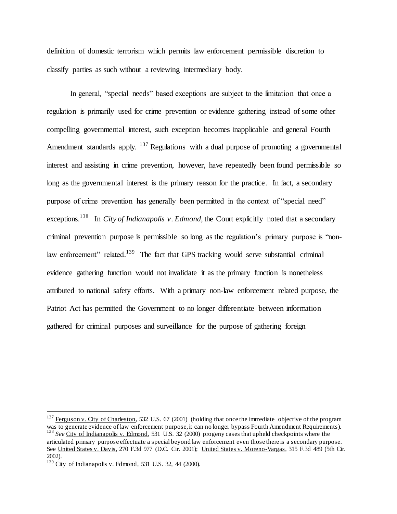definition of domestic terrorism which permits law enforcement permissible discretion to classify parties as such without a reviewing intermediary body.

In general, "special needs" based exceptions are subject to the limitation that once a regulation is primarily used for crime prevention or evidence gathering instead of some other compelling governmental interest, such exception becomes inapplicable and general Fourth Amendment standards apply. <sup>137</sup> Regulations with a dual purpose of promoting a governmental interest and assisting in crime prevention, however, have repeatedly been found permissible so long as the governmental interest is the primary reason for the practice. In fact, a secondary purpose of crime prevention has generally been permitted in the context of "special need" exceptions.<sup>138</sup> In *City of Indianapolis v. Edmond*, the Court explicitly noted that a secondary criminal prevention purpose is permissible so long as the regulation's primary purpose is "nonlaw enforcement" related.<sup>139</sup> The fact that GPS tracking would serve substantial criminal evidence gathering function would not invalidate it as the primary function is nonetheless attributed to national safety efforts. With a primary non-law enforcement related purpose, the Patriot Act has permitted the Government to no longer differentiate between information gathered for criminal purposes and surveillance for the purpose of gathering foreign

 $^{137}$  Ferguson v. City of Charleston, 532 U.S. 67 (2001) (holding that once the immediate objective of the program was to generate evidence of law enforcement purpose, it can no longer bypass Fourth Amendment Requirements). <sup>138</sup> See City of Indianapolis v. Edmond, 531 U.S. 32 (2000) progeny cases that upheld checkpoints where the articulated primary purpose effectuate a special beyond law enforcement even those there is a secondary purpose. See United States v. Davis, 270 F.3d 977 (D.C. Cir. 2001); United States v. Moreno-Vargas, 315 F.3d 489 (5th Cir.

<sup>2002).</sup> 

 $139$  City of Indianapolis v. Edmond, 531 U.S. 32, 44 (2000).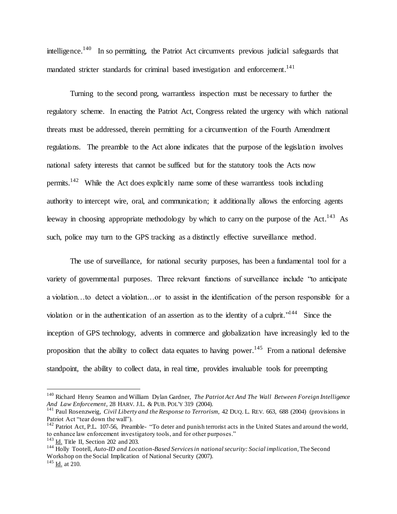intelligence.<sup>140</sup> In so permitting, the Patriot Act circumvents previous judicial safeguards that mandated stricter standards for criminal based investigation and enforcement.<sup>141</sup>

Turning to the second prong, warrantless inspection must be necessary to further the regulatory scheme. In enacting the Patriot Act, Congress related the urgency with which national threats must be addressed, therein permitting for a circumvention of the Fourth Amendment regulations. The preamble to the Act alone indicates that the purpose of the legislation involves national safety interests that cannot be sufficed but for the statutory tools the Acts now permits.<sup>142</sup> While the Act does explicitly name some of these warrantless tools including authority to intercept wire, oral, and communication; it additionally allows the enforcing agents leeway in choosing appropriate methodology by which to carry on the purpose of the Act.<sup>143</sup> As such, police may turn to the GPS tracking as a distinctly effective surveillance method.

The use of surveillance, for national security purposes, has been a fundamental tool for a variety of governmental purposes. Three relevant functions of surveillance include "to anticipate a violation…to detect a violation…or to assist in the identification of the person responsible for a violation or in the authentication of an assertion as to the identity of a culprit.<sup> $144$ </sup> Since the inception of GPS technology, advents in commerce and globalization have increasingly led to the proposition that the ability to collect data equates to having power.<sup>145</sup> From a national defensive standpoint, the ability to collect data, in real time, provides invaluable tools for preempting

<sup>140</sup> Richard Henry Seamon and William Dylan Gardner, *The Patriot Act And The Wall Between Foreign Intelligence And Law Enforcement*, 28 HARV. J.L. & PUB. POL'Y 319 (2004).

<sup>141</sup> Paul Rosenzweig, *Civil Liberty and the Response to Terrorism*, 42 DUQ. L. REV. 663, 688 (2004) (provisions in Patriot Act "tear down the wall").

 $142$  Patriot Act, P.L. 107-56, Preamble- "To deter and punish terrorist acts in the United States and around the world, to enhance law enforcement investigatory tools, and for other purposes."

 $143$  Id. Title II, Section 202 and 203.

<sup>144</sup> Holly Tootell, *Auto-ID and Location-Based Services in national security: Social implication,* The Second Workshop on the Social Implication of National Security (2007).

 $145$  Id. at 210.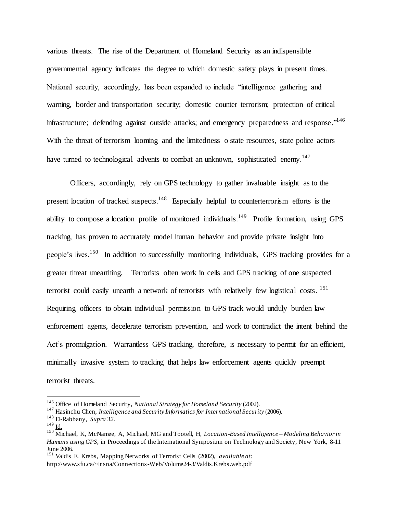various threats. The rise of the Department of Homeland Security as an indispensible governmental agency indicates the degree to which domestic safety plays in present times. National security, accordingly, has been expanded to include "intelligence gathering and warning, border and transportation security; domestic counter terrorism; protection of critical infrastructure; defending against outside attacks; and emergency preparedness and response."<sup>146</sup> With the threat of terrorism looming and the limitedness o state resources, state police actors have turned to technological advents to combat an unknown, sophisticated enemy.<sup>147</sup>

Officers, accordingly, rely on GPS technology to gather invaluable insight as to the present location of tracked suspects.<sup>148</sup> Especially helpful to counterterrorism efforts is the ability to compose a location profile of monitored individuals.<sup>149</sup> Profile formation, using GPS tracking, has proven to accurately model human behavior and provide private insight into people's lives.<sup>150</sup> In addition to successfully monitoring individuals, GPS tracking provides for a greater threat unearthing. Terrorists often work in cells and GPS tracking of one suspected terrorist could easily unearth a network of terrorists with relatively few logistical costs. <sup>151</sup> Requiring officers to obtain individual permission to GPS track would unduly burden law enforcement agents, decelerate terrorism prevention, and work to contradict the intent behind the Act's promulgation. Warrantless GPS tracking, therefore, is necessary to permit for an efficient, minimally invasive system to tracking that helps law enforcement agents quickly preempt terrorist threats.

<sup>146</sup> Office of Homeland Security, *National Strategy for Homeland Security* (2002).

<sup>&</sup>lt;sup>147</sup> Hasinchu Chen, *Intelligence and Security Informatics for International Security (2006).* 

<sup>148</sup> El-Rabbany, *Supra 32*.

 $149$  <u>Id.</u>

<sup>150</sup> Michael, K, McNamee, A, Michael, MG and Tootell, H, *Location-Based Intelligence – Modeling Behavior in Humans using GPS,* in Proceedings of the International Symposium on Technology and Society, New York, 8-11 June 2006.

<sup>151</sup> Valdis E. Krebs, Mapping Networks of Terrorist Cells (2002), *available at:* http://www.sfu.ca/~insna/Connections-Web/Volume24-3/Valdis.Krebs.web.pdf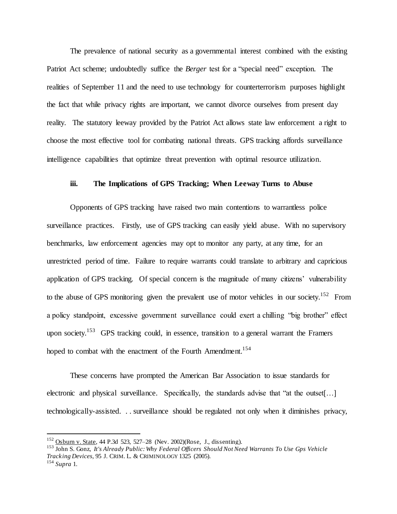The prevalence of national security as a governmental interest combined with the existing Patriot Act scheme; undoubtedly suffice the *Berger* test for a "special need" exception. The realities of September 11 and the need to use technology for counterterrorism purposes highlight the fact that while privacy rights are important, we cannot divorce ourselves from present day reality. The statutory leeway provided by the Patriot Act allows state law enforcement a right to choose the most effective tool for combating national threats. GPS tracking affords surveillance intelligence capabilities that optimize threat prevention with optimal resource utilization.

#### **iii. The Implications of GPS Tracking; When Leeway Turns to Abuse**

Opponents of GPS tracking have raised two main contentions to warrantless police surveillance practices. Firstly, use of GPS tracking can easily yield abuse. With no supervisory benchmarks, law enforcement agencies may opt to monitor any party, at any time, for an unrestricted period of time. Failure to require warrants could translate to arbitrary and capricious application of GPS tracking. Of special concern is the magnitude of many citizens' vulnerability to the abuse of GPS monitoring given the prevalent use of motor vehicles in our society.<sup>152</sup> From a policy standpoint, excessive government surveillance could exert a chilling "big brother" effect upon society.<sup>153</sup> GPS tracking could, in essence, transition to a general warrant the Framers hoped to combat with the enactment of the Fourth Amendment.<sup>154</sup>

These concerns have prompted the American Bar Association to issue standards for electronic and physical surveillance. Specifically, the standards advise that "at the outset[…] technologically-assisted. . . surveillance should be regulated not only when it diminishes privacy,

<sup>152</sup> Osburn v. State, 44 P.3d 523, 527–28 (Nev. 2002)(Rose, J., dissenting).

<sup>153</sup> John S. Gonz, *It's Already Public: Why Federal Officers Should Not Need Warrants To Use Gps Vehicle Tracking Devices,* 95 J. CRIM. L. & CRIMINOLOGY 1325 (2005).

<sup>154</sup> *Supra* 1.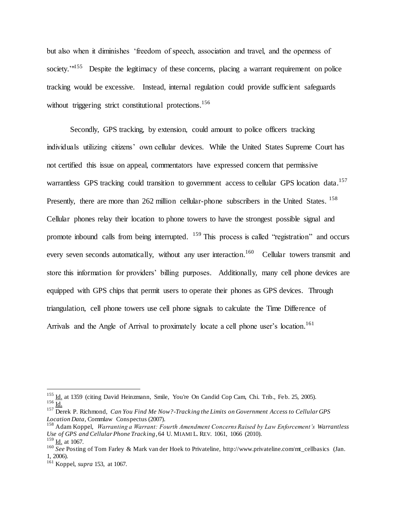but also when it diminishes 'freedom of speech, association and travel, and the openness of society.<sup>'"155</sup> Despite the legitimacy of these concerns, placing a warrant requirement on police tracking would be excessive. Instead, internal regulation could provide sufficient safeguards without triggering strict constitutional protections.<sup>156</sup>

Secondly, GPS tracking, by extension, could amount to police officers tracking individuals utilizing citizens' own cellular devices. While the United States Supreme Court has not certified this issue on appeal, commentators have expressed concern that permissive warrantless GPS tracking could transition to government access to cellular GPS location data.<sup>157</sup> Presently, there are more than 262 million cellular-phone subscribers in the United States. <sup>158</sup> Cellular phones relay their location to phone towers to have the strongest possible signal and promote inbound calls from being interrupted. <sup>159</sup> This process is called "registration" and occurs every seven seconds automatically, without any user interaction.<sup>160</sup> Cellular towers transmit and store this information for providers' billing purposes. Additionally, many cell phone devices are equipped with GPS chips that permit users to operate their phones as GPS devices. Through triangulation, cell phone towers use cell phone signals to calculate the Time Difference of Arrivals and the Angle of Arrival to proximately locate a cell phone user's location.<sup>161</sup>

<sup>&</sup>lt;sup>155</sup> Id. at 1359 (citing David Heinzmann, Smile, You're On Candid Cop Cam, Chi. Trib., Feb. 25, 2005).  $156 \overline{\underline{\text{Id}}}.$ 

<sup>157</sup> Derek P. Richmond, *Can You Find Me Now?-Tracking the Limits on Government Access to Cellular GPS Location Data,* Commlaw Conspectus (2007).

<sup>158</sup> Adam Koppel, *Warranting a Warrant: Fourth Amendment Concerns Raised by Law Enforcement's Warrantless Use of GPS and Cellular Phone Tracking*, 64 U. MIAMI L. REV. 1061, 1066 (2010). <sup>159</sup> Id. at 1067.

<sup>&</sup>lt;sup>160</sup> *See* Posting of Tom Farley & Mark van der Hoek to Privateline, http://www.privateline.com/mt\_cellbasics (Jan. 1, 2006).

<sup>161</sup> Koppel, *supra* 153, at 1067.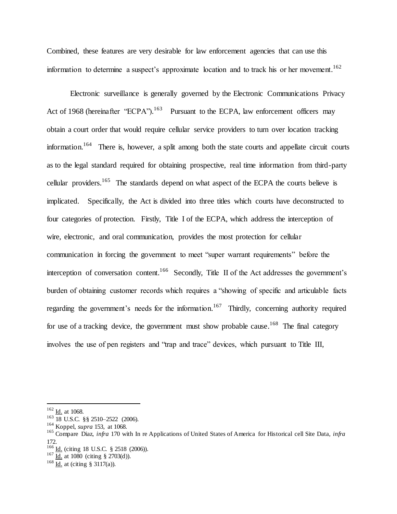Combined, these features are very desirable for law enforcement agencies that can use this information to determine a suspect's approximate location and to track his or her movement. 162

Electronic surveillance is generally governed by the Electronic Communications Privacy Act of 1968 (hereinafter "ECPA").<sup>163</sup> Pursuant to the ECPA, law enforcement officers may obtain a court order that would require cellular service providers to turn over location tracking information.<sup>164</sup> There is, however, a split among both the state courts and appellate circuit courts as to the legal standard required for obtaining prospective, real time information from third-party cellular providers.<sup>165</sup> The standards depend on what aspect of the ECPA the courts believe is implicated. Specifically, the Act is divided into three titles which courts have deconstructed to four categories of protection. Firstly, Title I of the ECPA, which address the interception of wire, electronic, and oral communication, provides the most protection for cellular communication in forcing the government to meet "super warrant requirements" before the interception of conversation content.<sup>166</sup> Secondly, Title II of the Act addresses the government's burden of obtaining customer records which requires a "showing of specific and articulable facts regarding the government's needs for the information.<sup>167</sup> Thirdly, concerning authority required for use of a tracking device, the government must show probable cause.<sup>168</sup> The final category involves the use of pen registers and "trap and trace" devices, which pursuant to Title III,

 $162$  <u>Id.</u> at 1068.

 $163$  18 U.S.C. §§ 2510–2522 (2006).

<sup>164</sup> Koppel, *supra* 153, at 1068.

<sup>165</sup> Compare Diaz, *infra* 170 with In re Applications of United States of America for Historical cell Site Data, *infra*  172.

 $166$  <u>Id.</u> (citing 18 U.S.C. § 2518 (2006)).

 $167 \frac{\text{Id.}}{\text{Id.}}$  at 1080 (citing § 2703(d)).

 $\frac{168}{\underline{\text{Id}}}\cdot$  at (citing § 3117(a)).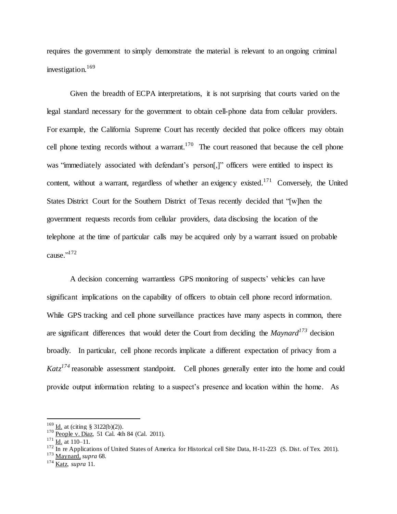requires the government to simply demonstrate the material is relevant to an ongoing criminal investigation. 169

Given the breadth of ECPA interpretations, it is not surprising that courts varied on the legal standard necessary for the government to obtain cell-phone data from cellular providers. For example, the California Supreme Court has recently decided that police officers may obtain cell phone texting records without a warrant.<sup>170</sup> The court reasoned that because the cell phone was "immediately associated with defendant's person[,]" officers were entitled to inspect its content, without a warrant, regardless of whether an exigency existed.<sup>171</sup> Conversely, the United States District Court for the Southern District of Texas recently decided that "[w]hen the government requests records from cellular providers, data disclosing the location of the telephone at the time of particular calls may be acquired only by a warrant issued on probable cause." 172

A decision concerning warrantless GPS monitoring of suspects' vehicles can have significant implications on the capability of officers to obtain cell phone record information. While GPS tracking and cell phone surveillance practices have many aspects in common, there are significant differences that would deter the Court from deciding the *Maynard<sup>173</sup>* decision broadly. In particular, cell phone records implicate a different expectation of privacy from a *Katz<sup>174</sup>* reasonable assessment standpoint. Cell phones generally enter into the home and could provide output information relating to a suspect's presence and location within the home. As

 $169$  Id. at (citing § 3122(b)(2)).

 $170 \frac{\text{Beo}}{\text{People}}$  v. Diaz, 51 Cal. 4th 84 (Cal. 2011).

 $\frac{171}{\underline{Id.}}$  at 110–11.

 $\frac{172}{\text{In}}$  in re Applications of United States of America for Historical cell Site Data, H-11-223 (S. Dist. of Tex. 2011).

<sup>173</sup> Maynard, *supra* 68.

<sup>174</sup> Katz, *supra* 11.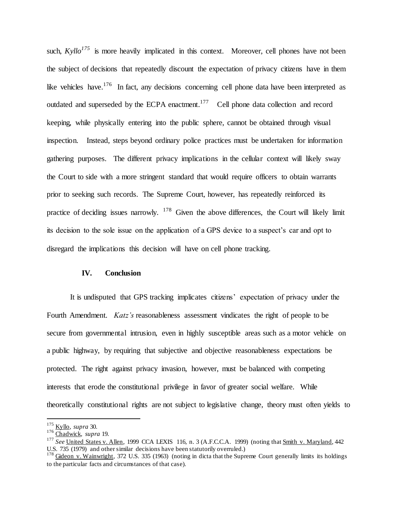such,  $Kyllo<sup>175</sup>$  is more heavily implicated in this context. Moreover, cell phones have not been the subject of decisions that repeatedly discount the expectation of privacy citizens have in them like vehicles have.<sup>176</sup> In fact, any decisions concerning cell phone data have been interpreted as outdated and superseded by the ECPA enactment.<sup>177</sup> Cell phone data collection and record keeping, while physically entering into the public sphere, cannot be obtained through visual inspection. Instead, steps beyond ordinary police practices must be undertaken for information gathering purposes. The different privacy implications in the cellular context will likely sway the Court to side with a more stringent standard that would require officers to obtain warrants prior to seeking such records. The Supreme Court, however, has repeatedly reinforced its practice of deciding issues narrowly. <sup>178</sup> Given the above differences, the Court will likely limit its decision to the sole issue on the application of a GPS device to a suspect's car and opt to disregard the implications this decision will have on cell phone tracking.

#### **IV. Conclusion**

It is undisputed that GPS tracking implicates citizens' expectation of privacy under the Fourth Amendment. *Katz's* reasonableness assessment vindicates the right of people to be secure from governmental intrusion, even in highly susceptible areas such as a motor vehicle on a public highway, by requiring that subjective and objective reasonableness expectations be protected. The right against privacy invasion, however, must be balanced with competing interests that erode the constitutional privilege in favor of greater social welfare. While theoretically constitutional rights are not subject to legislative change, theory must often yields to

<sup>175</sup> Kyllo, *supra* 30.

<sup>176</sup> Chadwick, *supra* 19.

<sup>&</sup>lt;sup>177</sup> *See* United States v. Allen, 1999 CCA LEXIS 116, n. 3 (A.F.C.C.A. 1999) (noting that Smith v. Maryland, 442 U.S. 735 (1979) and other similar decisions have been statutorily overruled.)

 $178$  Gideon v. Wainwright, 372 U.S. 335 (1963) (noting in dicta that the Supreme Court generally limits its holdings to the particular facts and circumstances of that case).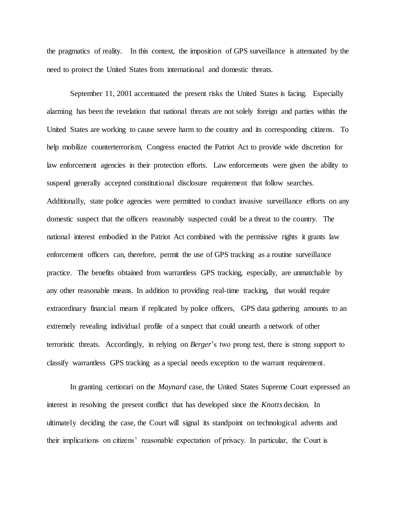the pragmatics of reality. In this context, the imposition of GPS surveillance is attenuated by the need to protect the United States from international and domestic threats.

September 11, 2001 accentuated the present risks the United States is facing. Especially alarming has been the revelation that national threats are not solely foreign and parties within the United States are working to cause severe harm to the country and its corresponding citizens. To help mobilize counterterrorism, Congress enacted the Patriot Act to provide wide discretion for law enforcement agencies in their protection efforts. Law enforcements were given the ability to suspend generally accepted constitutional disclosure requirement that follow searches. Additionally, state police agencies were permitted to conduct invasive surveillance efforts on any domestic suspect that the officers reasonably suspected could be a threat to the country. The national interest embodied in the Patriot Act combined with the permissive rights it grants law enforcement officers can, therefore, permit the use of GPS tracking as a routine surveillance practice. The benefits obtained from warrantless GPS tracking, especially, are unmatchable by any other reasonable means. In addition to providing real-time tracking, that would require extraordinary financial means if replicated by police officers, GPS data gathering amounts to an extremely revealing individual profile of a suspect that could unearth a network of other terroristic threats. Accordingly, in relying on *Berger*'s two prong test, there is strong support to classify warrantless GPS tracking as a special needs exception to the warrant requirement.

In granting certiorari on the *Maynard* case, the United States Supreme Court expressed an interest in resolving the present conflict that has developed since the *Knotts* decision. In ultimately deciding the case, the Court will signal its standpoint on technological advents and their implications on citizens' reasonable expectation of privacy. In particular, the Court is